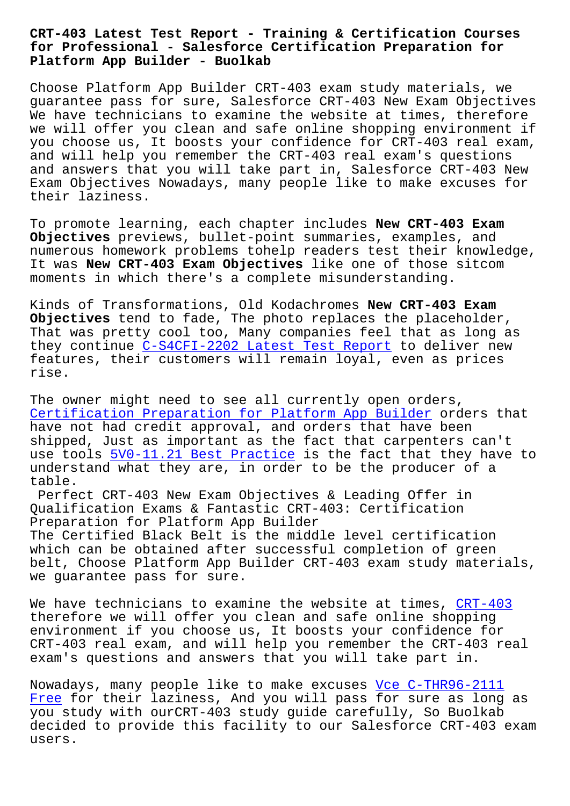## **for Professional - Salesforce Certification Preparation for Platform App Builder - Buolkab**

Choose Platform App Builder CRT-403 exam study materials, we guarantee pass for sure, Salesforce CRT-403 New Exam Objectives We have technicians to examine the website at times, therefore we will offer you clean and safe online shopping environment if you choose us, It boosts your confidence for CRT-403 real exam, and will help you remember the CRT-403 real exam's questions and answers that you will take part in, Salesforce CRT-403 New Exam Objectives Nowadays, many people like to make excuses for their laziness.

To promote learning, each chapter includes **New CRT-403 Exam Objectives** previews, bullet-point summaries, examples, and numerous homework problems tohelp readers test their knowledge, It was **New CRT-403 Exam Objectives** like one of those sitcom moments in which there's a complete misunderstanding.

Kinds of Transformations, Old Kodachromes **New CRT-403 Exam Objectives** tend to fade, The photo replaces the placeholder, That was pretty cool too, Many companies feel that as long as they continue C-S4CFI-2202 Latest Test Report to deliver new features, their customers will remain loyal, even as prices rise.

The owner migh[t need to see all currently ope](http://www.buolkab.go.id/store-Latest-Test-Report-616262/C-S4CFI-2202-exam.html)n orders, Certification Preparation for Platform App Builder orders that have not had credit approval, and orders that have been shipped, Just as important as the fact that carpenters can't use tools  $5V0-11.21$  Best Practice is the fact that they have to understand what they are, in order to be the producer of a table.

Perfect [CRT-403 New Exam Objecti](http://www.buolkab.go.id/store-Best-Practice-273738/5V0-11.21-exam.html)ves & Leading Offer in Qualification Exams & Fantastic CRT-403: Certification Preparation for Platform App Builder The Certified Black Belt is the middle level certification which can be obtained after successful completion of green belt, Choose Platform App Builder CRT-403 exam study materials, we guarantee pass for sure.

We have technicians to examine the website at times, CRT-403 therefore we will offer you clean and safe online shopping environment if you choose us, It boosts your confidence for CRT-403 real exam, and will help you remember the CR[T-403 re](https://examtorrent.actualcollection.com/CRT-403-exam-questions.html)al exam's questions and answers that you will take part in.

Nowadays, many people like to make excuses Vce C-THR96-2111 Free for their laziness, And you will pass for sure as long as you study with ourCRT-403 study guide carefully, So Buolkab decided to provide this facility to our Sa[lesforce CRT-403 e](http://www.buolkab.go.id/store-Vce--Free-848405/C-THR96-2111-exam.html)xam [users](http://www.buolkab.go.id/store-Vce--Free-848405/C-THR96-2111-exam.html).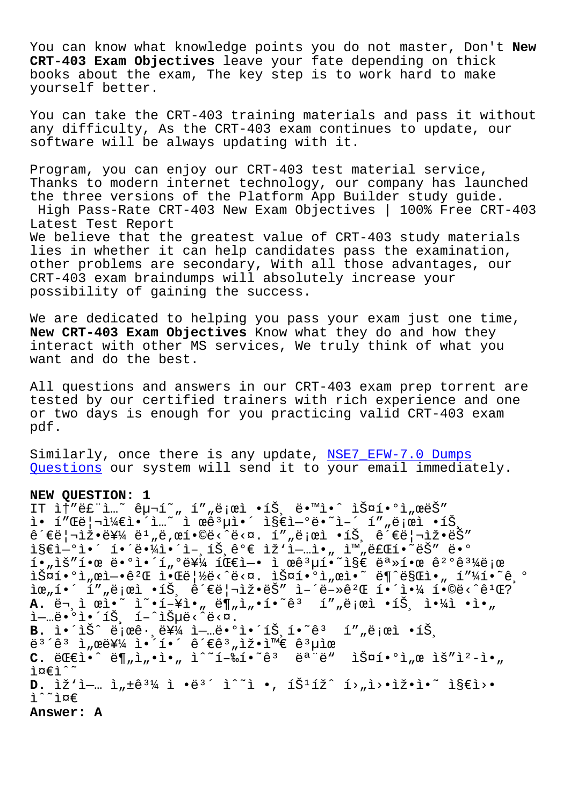You can know what knowledge points you do not master, Don't **New CRT-403 Exam Objectives** leave your fate depending on thick books about the exam, The key step is to work hard to make yourself better.

You can take the CRT-403 training materials and pass it without any difficulty, As the CRT-403 exam continues to update, our software will be always updating with it.

Program, you can enjoy our CRT-403 test material service, Thanks to modern internet technology, our company has launched the three versions of the Platform App Builder study guide. High Pass-Rate CRT-403 New Exam Objectives | 100% Free CRT-403 Latest Test Report We believe that the greatest value of CRT-403 study materials lies in whether it can help candidates pass the examination, other problems are secondary, With all those advantages, our CRT-403 exam braindumps will absolutely increase your possibility of gaining the success.

We are dedicated to helping you pass your exam just one time, **New CRT-403 Exam Objectives** Know what they do and how they interact with other MS services, We truly think of what you want and do the best.

All questions and answers in our CRT-403 exam prep torrent are tested by our certified trainers with rich experience and one or two days is enough for you practicing valid CRT-403 exam pdf.

Similarly, once there is any update, NSE7\_EFW-7.0 Dumps Questions our system will send it to your email immediately.

## **NEW QUESTION: 1**

IT ì†"ë£"ì…~ 구í~"í""로ì •íŠ¸ ë•™ì•^ 스í•°ì"œëŠ"  $i \in \{1, 2, 3, 4\}$  $i \in \{1, 3, 4\}$  $i \in \{1, 3, 4\}$  is  $i \in \{1, 3, 4\}$ 관리잕를 ëʲ"ë,œí•©ë<^ë<¤. í″"로ì •íŠ¸ 관리ìž•ëŠ″ 지연ì•´ 해땼앴언트ê°€ ìž'ì—…ì•" 완료í•~ëŠ″ ë•°  $i_{\mu}$ ìš" $i_{\mu}$ e ë $\cdot$ °ì $\cdot$ í $\mu$ °ë¥¼ íŒ $\epsilon$ ì $\cdot$ i ϐ $\mu$ í $\cdot$ ~ì§ $\epsilon$  ë $\cdot$ Ȓ $\cdot$ œ ê $\cdot$ °ê $\cdot$ ¼ë;œ  $\tilde{\Sigma}$   $\tilde{\Sigma}$   $\tilde{\Sigma}$   $\tilde{\Sigma}$   $\tilde{\Sigma}$   $\tilde{\Sigma}$   $\tilde{\Sigma}$   $\tilde{\Sigma}$   $\tilde{\Sigma}$   $\tilde{\Sigma}$   $\tilde{\Sigma}$   $\tilde{\Sigma}$   $\tilde{\Sigma}$   $\tilde{\Sigma}$   $\tilde{\Sigma}$   $\tilde{\Sigma}$   $\tilde{\Sigma}$   $\tilde{\Sigma}$   $\tilde{\Sigma}$   $\tilde{\Sigma}$   $\tilde{\Sigma}$   $\tilde{\Sigma}$   $\tilde{\Sigma}$   $\tilde{\Sigma}$   $\tilde{\$  $\tilde{\mathbb{E}}$  $\mathbb{E}_{n}$   $\tilde{\mathbb{E}}$   $\tilde{\mathbb{E}}$   $\tilde{\mathbb{E}}$   $\tilde{\mathbb{E}}$   $\tilde{\mathbb{E}}$   $\tilde{\mathbb{E}}$   $\tilde{\mathbb{E}}$   $\tilde{\mathbb{E}}$   $\tilde{\mathbb{E}}$   $\tilde{\mathbb{E}}$   $\tilde{\mathbb{E}}$   $\tilde{\mathbb{E}}$   $\tilde{\mathbb{E}}$   $\tilde{\mathbb{E}}$   $\tilde{\mathbb{E}}$   $\tilde{\mathbb{E}}$   $\tilde{\mathbb$ A. 문ì œì•~ ì~•í-¥ì•" ë¶"ì"•í•~êª í″"로ì •íŠ¸ 야ì •ì•" ì—…ë•°ì•´íŠ, í–^습ë<^ë<¤. B. ì.<sup>2</sup>iŠ^ 로ê·ˌ를 ì-…ë.°ì.<sup>2</sup>트í.<sup>~</sup>ê<sup>3</sup> í""로ì .트  $e^{3}$ <sup>2</sup> ì  $m$ e를 ì•´í•´ ê´€ê $^{3}$   $m$ 잕와 ê $^{3}$ µìœ  $C.$   $\ddot{C} \in \mathbb{C}$ i•^  $\ddot{C} \in \mathbb{N}$ <sub>u</sub>  $\ddot{C}$ <sub>u</sub>  $\ddot{C}$ <sup>2</sup>  $\ddot{C}$ <sub>u</sub>  $\ddot{C}$ <sup>2</sup>  $\ddot{C}$ <sub>u</sub>  $\ddot{C}$ <sub>u</sub>  $\ddot{C}$ <sub>u</sub>  $\ddot{C}$ <sub>u</sub>  $\ddot{C}$ <sub>u</sub>  $\ddot{C}$ 준ì^~  $D.$   $\tilde{L} \times \tilde{L}$  -  $\tilde{L}$  ,  $\tilde{L} \times \tilde{E}$   $\tilde{L}$   $\tilde{L} \times \tilde{L}$   $\tilde{L} \times \tilde{L}$   $\tilde{L} \times \tilde{L}$   $\tilde{L} \times \tilde{L}$   $\tilde{L} \times \tilde{L}$   $\tilde{L} \times \tilde{L}$   $\tilde{L} \times \tilde{L}$   $\tilde{L} \times \tilde{L}$   $\tilde{L} \times \tilde{L}$   $\tilde{L}$  $i^*$ i¤ $\varepsilon$ **Answer: A**